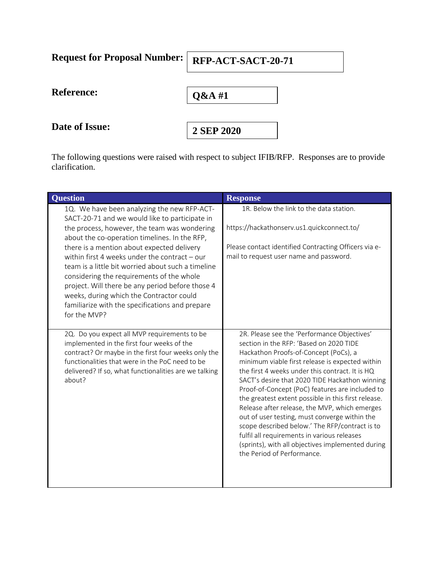| <b>Request for Proposal Number:</b> | RFP-ACT-SACT-20-71 |
|-------------------------------------|--------------------|
| <b>Reference:</b>                   | $Q&AA$ #1          |
| Date of Issue:                      | 2 SEP 2020         |

The following questions were raised with respect to subject IFIB/RFP. Responses are to provide clarification.

| <b>Question</b>                                                                                                                                                                                                                                                                                                                                                                                                                                                                                                                                                     | <b>Response</b>                                                                                                                                                                                                                                                                                                                                                                                                                                                                                                                                                                                                                                                                         |
|---------------------------------------------------------------------------------------------------------------------------------------------------------------------------------------------------------------------------------------------------------------------------------------------------------------------------------------------------------------------------------------------------------------------------------------------------------------------------------------------------------------------------------------------------------------------|-----------------------------------------------------------------------------------------------------------------------------------------------------------------------------------------------------------------------------------------------------------------------------------------------------------------------------------------------------------------------------------------------------------------------------------------------------------------------------------------------------------------------------------------------------------------------------------------------------------------------------------------------------------------------------------------|
| 1Q. We have been analyzing the new RFP-ACT-<br>SACT-20-71 and we would like to participate in<br>the process, however, the team was wondering<br>about the co-operation timelines. In the RFP,<br>there is a mention about expected delivery<br>within first 4 weeks under the contract - our<br>team is a little bit worried about such a timeline<br>considering the requirements of the whole<br>project. Will there be any period before those 4<br>weeks, during which the Contractor could<br>familiarize with the specifications and prepare<br>for the MVP? | 1R. Below the link to the data station.<br>https://hackathonserv.us1.quickconnect.to/<br>Please contact identified Contracting Officers via e-<br>mail to request user name and password.                                                                                                                                                                                                                                                                                                                                                                                                                                                                                               |
| 2Q. Do you expect all MVP requirements to be<br>implemented in the first four weeks of the<br>contract? Or maybe in the first four weeks only the<br>functionalities that were in the PoC need to be<br>delivered? If so, what functionalities are we talking<br>about?                                                                                                                                                                                                                                                                                             | 2R. Please see the 'Performance Objectives'<br>section in the RFP: 'Based on 2020 TIDE<br>Hackathon Proofs-of-Concept (PoCs), a<br>minimum viable first release is expected within<br>the first 4 weeks under this contract. It is HQ<br>SACT's desire that 2020 TIDE Hackathon winning<br>Proof-of-Concept (PoC) features are included to<br>the greatest extent possible in this first release.<br>Release after release, the MVP, which emerges<br>out of user testing, must converge within the<br>scope described below.' The RFP/contract is to<br>fulfil all requirements in various releases<br>(sprints), with all objectives implemented during<br>the Period of Performance. |